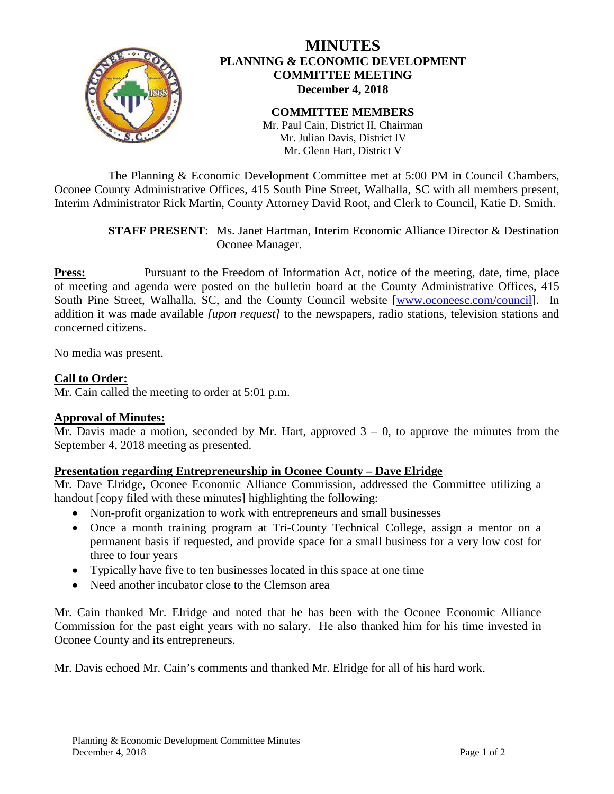

# **MINUTES PLANNING & ECONOMIC DEVELOPMENT COMMITTEE MEETING December 4, 2018**

#### **COMMITTEE MEMBERS** Mr. Paul Cain, District II, Chairman Mr. Julian Davis, District IV Mr. Glenn Hart, District V

The Planning & Economic Development Committee met at 5:00 PM in Council Chambers, Oconee County Administrative Offices, 415 South Pine Street, Walhalla, SC with all members present, Interim Administrator Rick Martin, County Attorney David Root, and Clerk to Council, Katie D. Smith.

## **STAFF PRESENT**: Ms. Janet Hartman, Interim Economic Alliance Director & Destination Oconee Manager.

**Press:** Pursuant to the Freedom of Information Act, notice of the meeting, date, time, place of meeting and agenda were posted on the bulletin board at the County Administrative Offices, 415 South Pine Street, Walhalla, SC, and the County Council website [\[www.oconeesc.com/council\]](http://www.oconeesc.com/council). In addition it was made available *[upon request]* to the newspapers, radio stations, television stations and concerned citizens.

No media was present.

# **Call to Order:**

Mr. Cain called the meeting to order at 5:01 p.m.

## **Approval of Minutes:**

Mr. Davis made a motion, seconded by Mr. Hart, approved  $3 - 0$ , to approve the minutes from the September 4, 2018 meeting as presented.

## **Presentation regarding Entrepreneurship in Oconee County – Dave Elridge**

Mr. Dave Elridge, Oconee Economic Alliance Commission, addressed the Committee utilizing a handout [copy filed with these minutes] highlighting the following:

- Non-profit organization to work with entrepreneurs and small businesses
- Once a month training program at Tri-County Technical College, assign a mentor on a permanent basis if requested, and provide space for a small business for a very low cost for three to four years
- Typically have five to ten businesses located in this space at one time
- Need another incubator close to the Clemson area

Mr. Cain thanked Mr. Elridge and noted that he has been with the Oconee Economic Alliance Commission for the past eight years with no salary. He also thanked him for his time invested in Oconee County and its entrepreneurs.

Mr. Davis echoed Mr. Cain's comments and thanked Mr. Elridge for all of his hard work.